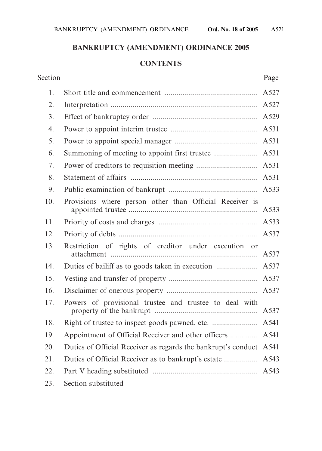# **BANKRUPTCY (AMENDMENT) ORDINANCE 2005**

# **CONTENTS**

| Section |                                                                    | Page |
|---------|--------------------------------------------------------------------|------|
| 1.      |                                                                    | A527 |
| 2.      |                                                                    |      |
| 3.      |                                                                    |      |
| 4.      |                                                                    |      |
| 5.      |                                                                    |      |
| 6.      | Summoning of meeting to appoint first trustee  A531                |      |
| 7.      |                                                                    |      |
| 8.      |                                                                    |      |
| 9.      |                                                                    |      |
| 10.     | Provisions where person other than Official Receiver is            |      |
| 11.     |                                                                    |      |
| 12.     |                                                                    |      |
| 13.     | Restriction of rights of creditor under execution or               | A537 |
| 14.     |                                                                    |      |
| 15.     |                                                                    |      |
| 16.     |                                                                    |      |
| 17.     | Powers of provisional trustee and trustee to deal with             |      |
| 18.     |                                                                    |      |
| 19.     | Appointment of Official Receiver and other officers  A541          |      |
| 20.     | Duties of Official Receiver as regards the bankrupt's conduct A541 |      |
| 21.     |                                                                    |      |
| 22.     |                                                                    |      |
| 23.     | Section substituted                                                |      |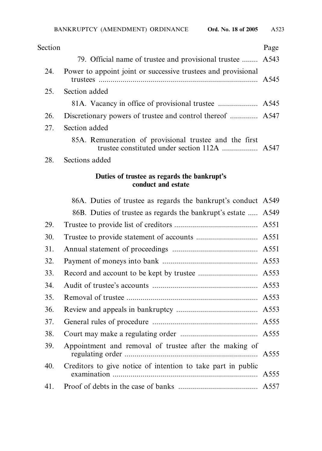| Section |                                                                   | Page |
|---------|-------------------------------------------------------------------|------|
|         | 79. Official name of trustee and provisional trustee  A543        |      |
| 24.     | Power to appoint joint or successive trustees and provisional     | A545 |
| 25.     | Section added                                                     |      |
|         |                                                                   |      |
| 26.     | Discretionary powers of trustee and control thereof  A547         |      |
| 27.     | Section added                                                     |      |
|         | 85A. Remuneration of provisional trustee and the first            |      |
| 28.     | Sections added                                                    |      |
|         | Duties of trustee as regards the bankrupt's<br>conduct and estate |      |
|         | 86A. Duties of trustee as regards the bankrupt's conduct A549     |      |
|         | 86B. Duties of trustee as regards the bankrupt's estate  A549     |      |
| 29.     |                                                                   |      |
| 30.     |                                                                   |      |
| 31.     |                                                                   |      |
| 32.     |                                                                   |      |

| 35. |                                                                  |  |
|-----|------------------------------------------------------------------|--|
|     |                                                                  |  |
|     |                                                                  |  |
|     |                                                                  |  |
| 39. | Appointment and removal of trustee after the making of           |  |
|     | 40. Creditors to give notice of intention to take part in public |  |
|     |                                                                  |  |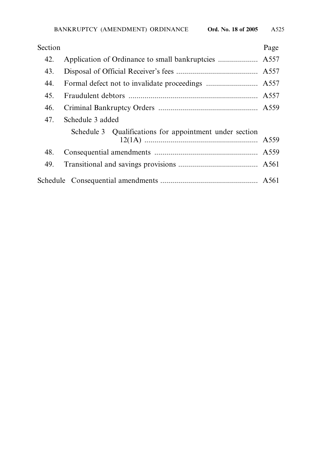| Section |                                                         | Page |
|---------|---------------------------------------------------------|------|
| 42.     |                                                         |      |
| 43.     |                                                         |      |
| 44.     |                                                         |      |
| 45.     |                                                         |      |
| 46.     |                                                         |      |
| 47.     | Schedule 3 added                                        |      |
|         | Schedule 3 Qualifications for appointment under section |      |
| 48.     |                                                         |      |
| 49.     |                                                         |      |
|         |                                                         |      |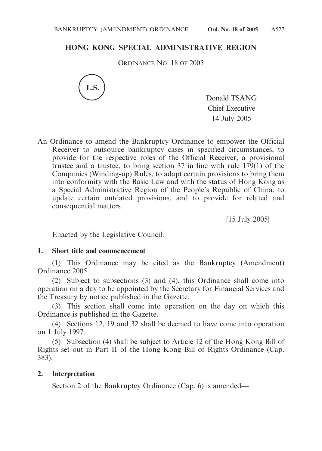## **HONG KONG SPECIAL ADMINISTRATIVE REGION**

ORDINANCE NO. 18 OF 2005



Donald TSANG Chief Executive 14 July 2005

An Ordinance to amend the Bankruptcy Ordinance to empower the Official Receiver to outsource bankruptcy cases in specified circumstances, to provide for the respective roles of the Official Receiver, a provisional trustee and a trustee, to bring section 37 in line with rule 179(1) of the Companies (Winding-up) Rules, to adapt certain provisions to bring them into conformity with the Basic Law and with the status of Hong Kong as a Special Administrative Region of the People's Republic of China, to update certain outdated provisions, and to provide for related and consequential matters.

[15 July 2005]

Enacted by the Legislative Council.

#### **1. Short title and commencement**

(1) This Ordinance may be cited as the Bankruptcy (Amendment) Ordinance 2005.

(2) Subject to subsections (3) and (4), this Ordinance shall come into operation on a day to be appointed by the Secretary for Financial Services and the Treasury by notice published in the Gazette.

(3) This section shall come into operation on the day on which this Ordinance is published in the Gazette.

(4) Sections 12, 19 and 32 shall be deemed to have come into operation on 1 July 1997.

(5) Subsection (4) shall be subject to Article 12 of the Hong Kong Bill of Rights set out in Part II of the Hong Kong Bill of Rights Ordinance (Cap. 383).

## **2. Interpretation**

Section 2 of the Bankruptcy Ordinance (Cap. 6) is amended—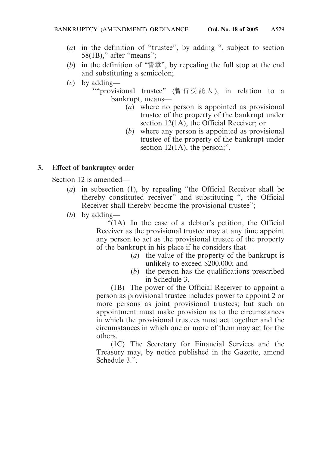- (*a*) in the definition of "trustee", by adding ", subject to section 58 $(1B)$ ," after "means";
- (*b*) in the definition of "誓章", by repealing the full stop at the end and substituting a semicolon;
- (*c*) by adding—
	- ""provisional trustee" (暫行受託人 ), in relation to a bankrupt, means—
		- (*a*) where no person is appointed as provisional trustee of the property of the bankrupt under section 12(1A), the Official Receiver; or
		- (*b*) where any person is appointed as provisional trustee of the property of the bankrupt under section 12(1A), the person;".

## **3. Effect of bankruptcy order**

Section 12 is amended—

- (*a*) in subsection (1), by repealing "the Official Receiver shall be thereby constituted receiver" and substituting ", the Official Receiver shall thereby become the provisional trustee";
- (*b*) by adding—

"(1A) In the case of a debtor's petition, the Official Receiver as the provisional trustee may at any time appoint any person to act as the provisional trustee of the property of the bankrupt in his place if he considers that—

- (*a*) the value of the property of the bankrupt is unlikely to exceed \$200,000; and
- (*b*) the person has the qualifications prescribed in Schedule 3.

(1B) The power of the Official Receiver to appoint a person as provisional trustee includes power to appoint 2 or more persons as joint provisional trustees; but such an appointment must make provision as to the circumstances in which the provisional trustees must act together and the circumstances in which one or more of them may act for the others.

(1C) The Secretary for Financial Services and the Treasury may, by notice published in the Gazette, amend Schedule 3."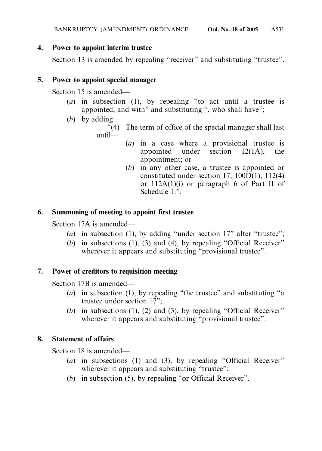#### **4. Power to appoint interim trustee**

Section 13 is amended by repealing "receiver" and substituting "trustee".

## **5. Power to appoint special manager**

Section 15 is amended—

- (*a*) in subsection (1), by repealing "to act until a trustee is appointed, and with" and substituting ", who shall have";
- (*b*) by adding—
	- "(4) The term of office of the special manager shall last until—
		- (*a*) in a case where a provisional trustee is appointed under section 12(1A), the appointment; or
		- (*b*) in any other case, a trustee is appointed or constituted under section 17,  $100D(1)$ ,  $112(4)$ or 112A(1)(i) or paragraph 6 of Part II of Schedule 1.".

## **6. Summoning of meeting to appoint first trustee**

Section 17A is amended—

- (*a*) in subsection (1), by adding "under section 17" after "trustee";
- (*b*) in subsections (1), (3) and (4), by repealing "Official Receiver" wherever it appears and substituting "provisional trustee".

## **7. Power of creditors to requisition meeting**

Section 17B is amended—

- (*a*) in subsection (1), by repealing "the trustee" and substituting "a trustee under section 17";
- (*b*) in subsections (1), (2) and (3), by repealing "Official Receiver" wherever it appears and substituting "provisional trustee".

## **8. Statement of affairs**

Section 18 is amended—

- (*a*) in subsections (1) and (3), by repealing "Official Receiver" wherever it appears and substituting "trustee";
- (*b*) in subsection (5), by repealing "or Official Receiver".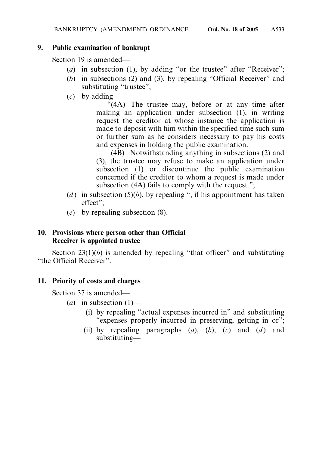### **9. Public examination of bankrupt**

Section 19 is amended—

- (*a*) in subsection (1), by adding "or the trustee" after "Receiver";
- (*b*) in subsections (2) and (3), by repealing "Official Receiver" and substituting "trustee";
- (*c*) by adding—

"(4A) The trustee may, before or at any time after making an application under subsection (1), in writing request the creditor at whose instance the application is made to deposit with him within the specified time such sum or further sum as he considers necessary to pay his costs and expenses in holding the public examination.

(4B) Notwithstanding anything in subsections (2) and (3), the trustee may refuse to make an application under subsection (1) or discontinue the public examination concerned if the creditor to whom a request is made under subsection (4A) fails to comply with the request.";

- (*d*) in subsection (5)(*b*), by repealing ", if his appointment has taken effect";
- (*e*) by repealing subsection (8).

#### **10. Provisions where person other than Official Receiver is appointed trustee**

Section  $23(1)(b)$  is amended by repealing "that officer" and substituting "the Official Receiver".

## **11. Priority of costs and charges**

Section 37 is amended—

- $(a)$  in subsection  $(1)$ 
	- (i) by repealing "actual expenses incurred in" and substituting "expenses properly incurred in preserving, getting in or";
	- (ii) by repealing paragraphs  $(a)$ ,  $(b)$ ,  $(c)$  and  $(d)$  and substituting—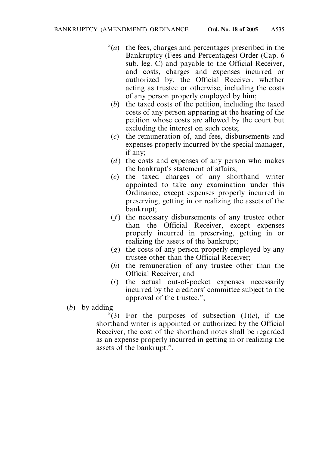- "(*a*) the fees, charges and percentages prescribed in the Bankruptcy (Fees and Percentages) Order (Cap. 6 sub. leg. C) and payable to the Official Receiver, and costs, charges and expenses incurred or authorized by, the Official Receiver, whether acting as trustee or otherwise, including the costs of any person properly employed by him;
	- (*b*) the taxed costs of the petition, including the taxed costs of any person appearing at the hearing of the petition whose costs are allowed by the court but excluding the interest on such costs;
	- (*c*) the remuneration of, and fees, disbursements and expenses properly incurred by the special manager, if any;
	- (*d*) the costs and expenses of any person who makes the bankrupt's statement of affairs;
	- (*e*) the taxed charges of any shorthand writer appointed to take any examination under this Ordinance, except expenses properly incurred in preserving, getting in or realizing the assets of the bankrupt;
	- (*f*) the necessary disbursements of any trustee other than the Official Receiver, except expenses properly incurred in preserving, getting in or realizing the assets of the bankrupt;
	- (*g*) the costs of any person properly employed by any trustee other than the Official Receiver;
	- (*h*) the remuneration of any trustee other than the Official Receiver; and
	- (*i*) the actual out-of-pocket expenses necessarily incurred by the creditors' committee subject to the approval of the trustee.";
- (*b*) by adding—

"(3) For the purposes of subsection  $(1)(e)$ , if the shorthand writer is appointed or authorized by the Official Receiver, the cost of the shorthand notes shall be regarded as an expense properly incurred in getting in or realizing the assets of the bankrupt.".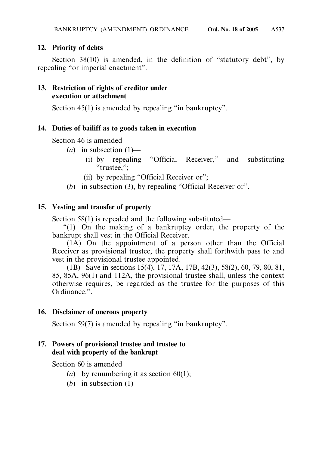## **12. Priority of debts**

Section 38(10) is amended, in the definition of "statutory debt", by repealing "or imperial enactment".

### **13. Restriction of rights of creditor under execution or attachment**

Section 45(1) is amended by repealing "in bankruptcy".

## **14. Duties of bailiff as to goods taken in execution**

Section 46 is amended—

- $(a)$  in subsection  $(1)$ 
	- (i) by repealing "Official Receiver," and substituting "trustee,";
	- (ii) by repealing "Official Receiver or";
- (*b*) in subsection (3), by repealing "Official Receiver or".

## **15. Vesting and transfer of property**

Section 58(1) is repealed and the following substituted—

"(1) On the making of a bankruptcy order, the property of the bankrupt shall vest in the Official Receiver.

(1A) On the appointment of a person other than the Official Receiver as provisional trustee, the property shall forthwith pass to and vest in the provisional trustee appointed.

(1B) Save in sections 15(4), 17, 17A, 17B, 42(3), 58(2), 60, 79, 80, 81, 85, 85A, 96(1) and 112A, the provisional trustee shall, unless the context otherwise requires, be regarded as the trustee for the purposes of this Ordinance.".

## **16. Disclaimer of onerous property**

Section 59(7) is amended by repealing "in bankruptcy".

## **17. Powers of provisional trustee and trustee to deal with property of the bankrupt**

Section 60 is amended—

- (*a*) by renumbering it as section  $60(1)$ ;
- (*b*) in subsection (1)—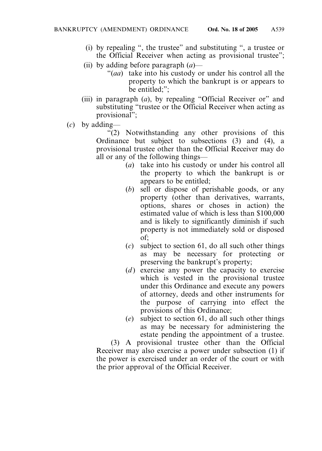- (i) by repealing ", the trustee" and substituting ", a trustee or the Official Receiver when acting as provisional trustee";
- (ii) by adding before paragraph (*a*)—
	- "(*aa*) take into his custody or under his control all the property to which the bankrupt is or appears to be entitled:":
- (iii) in paragraph (*a*), by repealing "Official Receiver or" and substituting "trustee or the Official Receiver when acting as provisional";
- (*c*) by adding—

"(2) Notwithstanding any other provisions of this Ordinance but subject to subsections (3) and (4), a provisional trustee other than the Official Receiver may do all or any of the following things—

- (*a*) take into his custody or under his control all the property to which the bankrupt is or appears to be entitled;
- (*b*) sell or dispose of perishable goods, or any property (other than derivatives, warrants, options, shares or choses in action) the estimated value of which is less than \$100,000 and is likely to significantly diminish if such property is not immediately sold or disposed of;
- (*c*) subject to section 61, do all such other things as may be necessary for protecting or preserving the bankrupt's property;
- (*d*) exercise any power the capacity to exercise which is vested in the provisional trustee under this Ordinance and execute any powers of attorney, deeds and other instruments for the purpose of carrying into effect the provisions of this Ordinance;
- (*e*) subject to section 61, do all such other things as may be necessary for administering the estate pending the appointment of a trustee.

(3) A provisional trustee other than the Official Receiver may also exercise a power under subsection (1) if the power is exercised under an order of the court or with the prior approval of the Official Receiver.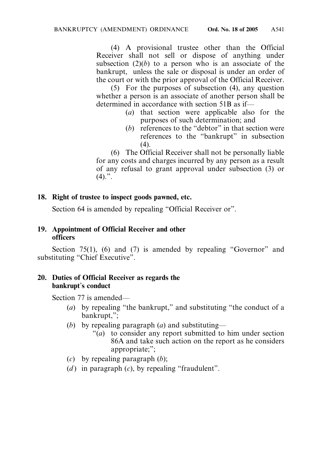(4) A provisional trustee other than the Official Receiver shall not sell or dispose of anything under subsection  $(2)(b)$  to a person who is an associate of the bankrupt, unless the sale or disposal is under an order of the court or with the prior approval of the Official Receiver.

(5) For the purposes of subsection (4), any question whether a person is an associate of another person shall be determined in accordance with section 51B as if—

- (*a*) that section were applicable also for the purposes of such determination; and
- (*b*) references to the "debtor" in that section were references to the "bankrupt" in subsection  $(4).$

(6) The Official Receiver shall not be personally liable for any costs and charges incurred by any person as a result of any refusal to grant approval under subsection (3) or  $(4).$ ".

#### **18. Right of trustee to inspect goods pawned, etc.**

Section 64 is amended by repealing "Official Receiver or".

#### **19. Appointment of Official Receiver and other officers**

Section 75(1), (6) and (7) is amended by repealing "Governor" and substituting "Chief Executive".

#### **20. Duties of Official Receiver as regards the bankrupt**'**s conduct**

Section 77 is amended—

- (*a*) by repealing "the bankrupt," and substituting "the conduct of a bankrupt,";
- (*b*) by repealing paragraph (*a*) and substituting—
	- "(*a*) to consider any report submitted to him under section 86A and take such action on the report as he considers appropriate;";
- (*c*) by repealing paragraph (*b*);
- (*d*) in paragraph (*c*), by repealing "fraudulent".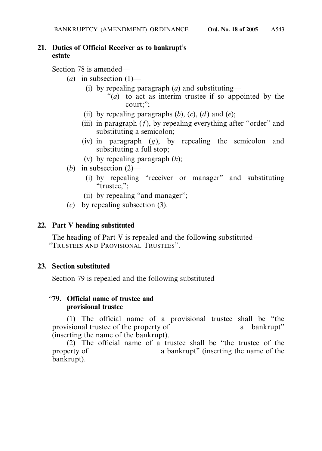## **21. Duties of Official Receiver as to bankrupt**'**s estate**

Section 78 is amended—

- (*a*) in subsection (1)—
	- (i) by repealing paragraph (*a*) and substituting—
		- "(*a*) to act as interim trustee if so appointed by the court;";
	- (ii) by repealing paragraphs  $(b)$ ,  $(c)$ ,  $(d)$  and  $(e)$ ;
	- (iii) in paragraph (*f*), by repealing everything after "order" and substituting a semicolon;
	- (iv) in paragraph (*g*), by repealing the semicolon and substituting a full stop;
	- (v) by repealing paragraph (*h*);
- (*b*) in subsection (2)—
	- (i) by repealing "receiver or manager" and substituting "trustee,";
	- (ii) by repealing "and manager";
- (*c*) by repealing subsection (3).

## **22. Part V heading substituted**

The heading of Part V is repealed and the following substituted— "TRUSTEES AND PROVISIONAL TRUSTEES".

## **23. Section substituted**

Section 79 is repealed and the following substituted—

#### "**79. Official name of trustee and provisional trustee**

(1) The official name of a provisional trustee shall be "the provisional trustee of the property of a bankrupt" (inserting the name of the bankrupt).

(2) The official name of a trustee shall be "the trustee of the property of a bankrupt" (inserting the name of the bankrupt).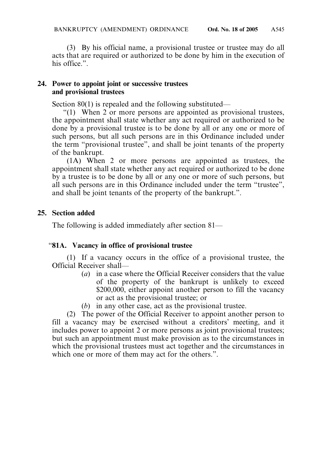(3) By his official name, a provisional trustee or trustee may do all acts that are required or authorized to be done by him in the execution of his office.".

### **24. Power to appoint joint or successive trustees and provisional trustees**

Section 80(1) is repealed and the following substituted—

"(1) When 2 or more persons are appointed as provisional trustees, the appointment shall state whether any act required or authorized to be done by a provisional trustee is to be done by all or any one or more of such persons, but all such persons are in this Ordinance included under the term "provisional trustee", and shall be joint tenants of the property of the bankrupt.

(1A) When 2 or more persons are appointed as trustees, the appointment shall state whether any act required or authorized to be done by a trustee is to be done by all or any one or more of such persons, but all such persons are in this Ordinance included under the term "trustee", and shall be joint tenants of the property of the bankrupt.".

## **25. Section added**

The following is added immediately after section 81—

## "**81A. Vacancy in office of provisional trustee**

(1) If a vacancy occurs in the office of a provisional trustee, the Official Receiver shall—

- (*a*) in a case where the Official Receiver considers that the value of the property of the bankrupt is unlikely to exceed \$200,000, either appoint another person to fill the vacancy or act as the provisional trustee; or
- (*b*) in any other case, act as the provisional trustee.

(2) The power of the Official Receiver to appoint another person to fill a vacancy may be exercised without a creditors' meeting, and it includes power to appoint 2 or more persons as joint provisional trustees; but such an appointment must make provision as to the circumstances in which the provisional trustees must act together and the circumstances in which one or more of them may act for the others.".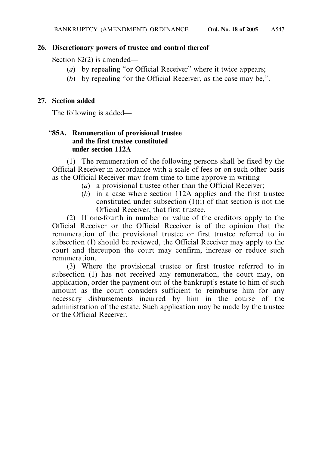### **26. Discretionary powers of trustee and control thereof**

Section 82(2) is amended—

- (*a*) by repealing "or Official Receiver" where it twice appears;
- (*b*) by repealing "or the Official Receiver, as the case may be,".

## **27. Section added**

The following is added—

### "**85A. Remuneration of provisional trustee and the first trustee constituted under section 112A**

(1) The remuneration of the following persons shall be fixed by the Official Receiver in accordance with a scale of fees or on such other basis as the Official Receiver may from time to time approve in writing—

- (*a*) a provisional trustee other than the Official Receiver;
- (*b*) in a case where section 112A applies and the first trustee constituted under subsection (1)(i) of that section is not the Official Receiver, that first trustee.

(2) If one-fourth in number or value of the creditors apply to the Official Receiver or the Official Receiver is of the opinion that the remuneration of the provisional trustee or first trustee referred to in subsection (1) should be reviewed, the Official Receiver may apply to the court and thereupon the court may confirm, increase or reduce such remuneration.

(3) Where the provisional trustee or first trustee referred to in subsection (1) has not received any remuneration, the court may, on application, order the payment out of the bankrupt's estate to him of such amount as the court considers sufficient to reimburse him for any necessary disbursements incurred by him in the course of the administration of the estate. Such application may be made by the trustee or the Official Receiver.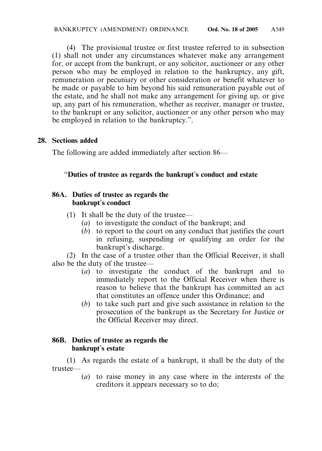(4) The provisional trustee or first trustee referred to in subsection (1) shall not under any circumstances whatever make any arrangement for, or accept from the bankrupt, or any solicitor, auctioneer or any other person who may be employed in relation to the bankruptcy, any gift, remuneration or pecuniary or other consideration or benefit whatever to be made or payable to him beyond his said remuneration payable out of the estate, and he shall not make any arrangement for giving up, or give up, any part of his remuneration, whether as receiver, manager or trustee, to the bankrupt or any solicitor, auctioneer or any other person who may be employed in relation to the bankruptcy.".

#### **28. Sections added**

The following are added immediately after section 86—

## "**Duties of trustee as regards the bankrupt**'**s conduct and estate**

#### **86A. Duties of trustee as regards the bankrupt**'**s conduct**

- (1) It shall be the duty of the trustee—
	- (*a*) to investigate the conduct of the bankrupt; and
	- (*b*) to report to the court on any conduct that justifies the court in refusing, suspending or qualifying an order for the bankrupt's discharge.

(2) In the case of a trustee other than the Official Receiver, it shall also be the duty of the trustee—

- (*a*) to investigate the conduct of the bankrupt and to immediately report to the Official Receiver when there is reason to believe that the bankrupt has committed an act that constitutes an offence under this Ordinance; and
- (*b*) to take such part and give such assistance in relation to the prosecution of the bankrupt as the Secretary for Justice or the Official Receiver may direct.

#### **86B. Duties of trustee as regards the bankrupt**'**s estate**

(1) As regards the estate of a bankrupt, it shall be the duty of the trustee—

> (*a*) to raise money in any case where in the interests of the creditors it appears necessary so to do;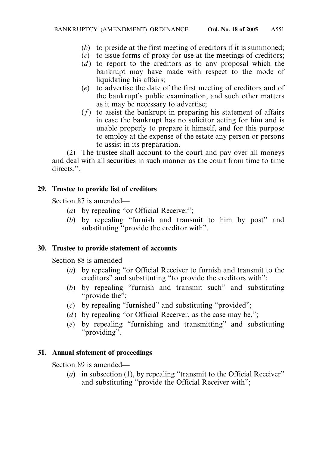- (*b*) to preside at the first meeting of creditors if it is summoned;
- (*c*) to issue forms of proxy for use at the meetings of creditors;
- $(d)$  to report to the creditors as to any proposal which the bankrupt may have made with respect to the mode of liquidating his affairs;
- (*e*) to advertise the date of the first meeting of creditors and of the bankrupt's public examination, and such other matters as it may be necessary to advertise;
- (*f*) to assist the bankrupt in preparing his statement of affairs in case the bankrupt has no solicitor acting for him and is unable properly to prepare it himself, and for this purpose to employ at the expense of the estate any person or persons to assist in its preparation.

(2) The trustee shall account to the court and pay over all moneys and deal with all securities in such manner as the court from time to time directs.".

## **29. Trustee to provide list of creditors**

Section 87 is amended—

- (*a*) by repealing "or Official Receiver";
- (*b*) by repealing "furnish and transmit to him by post" and substituting "provide the creditor with".

## **30. Trustee to provide statement of accounts**

Section 88 is amended—

- (*a*) by repealing "or Official Receiver to furnish and transmit to the creditors" and substituting "to provide the creditors with";
- (*b*) by repealing "furnish and transmit such" and substituting "provide the";
- (*c*) by repealing "furnished" and substituting "provided";
- (*d*) by repealing "or Official Receiver, as the case may be,";
- (*e*) by repealing "furnishing and transmitting" and substituting "providing".

## **31. Annual statement of proceedings**

Section 89 is amended—

(*a*) in subsection (1), by repealing "transmit to the Official Receiver" and substituting "provide the Official Receiver with";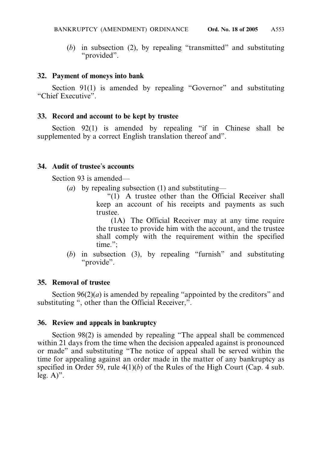(*b*) in subsection (2), by repealing "transmitted" and substituting "provided".

#### **32. Payment of moneys into bank**

Section 91(1) is amended by repealing "Governor" and substituting "Chief Executive".

#### **33. Record and account to be kept by trustee**

Section 92(1) is amended by repealing "if in Chinese shall be supplemented by a correct English translation thereof and".

#### **34. Audit of trustee**'**s accounts**

Section 93 is amended—

(*a*) by repealing subsection (1) and substituting—

"(1) A trustee other than the Official Receiver shall keep an account of his receipts and payments as such trustee.

(1A) The Official Receiver may at any time require the trustee to provide him with the account, and the trustee shall comply with the requirement within the specified time.";

(*b*) in subsection (3), by repealing "furnish" and substituting "provide".

#### **35. Removal of trustee**

Section  $96(2)(a)$  is amended by repealing "appointed by the creditors" and substituting ", other than the Official Receiver,".

#### **36. Review and appeals in bankruptcy**

Section 98(2) is amended by repealing "The appeal shall be commenced within 21 days from the time when the decision appealed against is pronounced or made" and substituting "The notice of appeal shall be served within the time for appealing against an order made in the matter of any bankruptcy as specified in Order 59, rule  $4(1)(b)$  of the Rules of the High Court (Cap. 4 sub. leg.  $A$ <sup>"</sup>.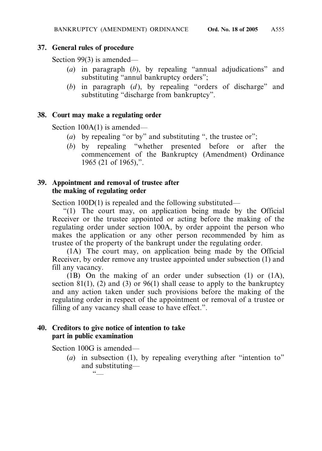#### **37. General rules of procedure**

Section 99(3) is amended—

- (*a*) in paragraph (*b*), by repealing "annual adjudications" and substituting "annul bankruptcy orders";
- (*b*) in paragraph (*d* ), by repealing "orders of discharge" and substituting "discharge from bankruptcy".

#### **38. Court may make a regulating order**

Section 100A(1) is amended—

- (*a*) by repealing "or by" and substituting ", the trustee or";
- (*b*) by repealing "whether presented before or after the commencement of the Bankruptcy (Amendment) Ordinance 1965 (21 of 1965),".

#### **39. Appointment and removal of trustee after the making of regulating order**

Section 100D(1) is repealed and the following substituted—

"(1) The court may, on application being made by the Official Receiver or the trustee appointed or acting before the making of the regulating order under section 100A, by order appoint the person who makes the application or any other person recommended by him as trustee of the property of the bankrupt under the regulating order.

(1A) The court may, on application being made by the Official Receiver, by order remove any trustee appointed under subsection (1) and fill any vacancy.

(1B) On the making of an order under subsection (1) or (1A), section 81(1), (2) and (3) or 96(1) shall cease to apply to the bankruptcy and any action taken under such provisions before the making of the regulating order in respect of the appointment or removal of a trustee or filling of any vacancy shall cease to have effect.".

#### **40. Creditors to give notice of intention to take part in public examination**

Section 100G is amended—

(*a*) in subsection (1), by repealing everything after "intention to" and substituting—  $\overline{66}$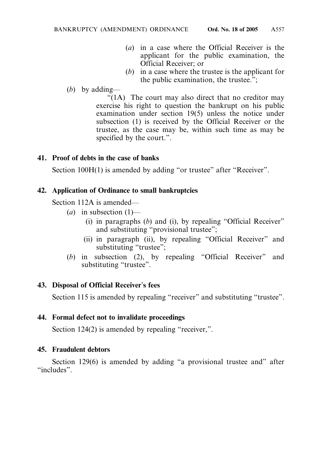- (*a*) in a case where the Official Receiver is the applicant for the public examination, the Official Receiver; or
- (*b*) in a case where the trustee is the applicant for the public examination, the trustee.";

## (*b*) by adding—

"(1A) The court may also direct that no creditor may exercise his right to question the bankrupt on his public examination under section 19(5) unless the notice under subsection (1) is received by the Official Receiver or the trustee, as the case may be, within such time as may be specified by the court.".

## **41. Proof of debts in the case of banks**

Section 100H(1) is amended by adding "or trustee" after "Receiver".

## **42. Application of Ordinance to small bankruptcies**

Section 112A is amended—

- $(a)$  in subsection  $(1)$ 
	- (i) in paragraphs (*b*) and (i), by repealing "Official Receiver" and substituting "provisional trustee";
	- (ii) in paragraph (ii), by repealing "Official Receiver" and substituting "trustee";
- (*b*) in subsection (2), by repealing "Official Receiver" and substituting "trustee".

## **43. Disposal of Official Receiver**'**s fees**

Section 115 is amended by repealing "receiver" and substituting "trustee".

## **44. Formal defect not to invalidate proceedings**

Section 124(2) is amended by repealing "receiver,".

## **45. Fraudulent debtors**

Section 129(6) is amended by adding "a provisional trustee and" after "includes".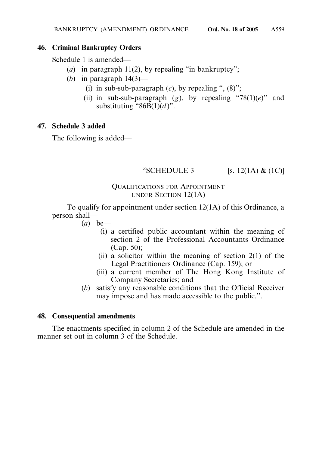#### **46. Criminal Bankruptcy Orders**

Schedule 1 is amended—

- (*a*) in paragraph 11(2), by repealing "in bankruptcy";
- (*b*) in paragraph  $14(3)$ 
	- (i) in sub-sub-paragraph  $(c)$ , by repealing ",  $(8)$ ";
	- (ii) in sub-sub-paragraph (*g*), by repealing "78(1)(*e*)" and substituting " $86B(1)(d)$ ".

#### **47. Schedule 3 added**

The following is added—

## "SCHEDULE 3  $[s. 12(1A) & (1C)]$

#### QUALIFICATIONS FOR APPOINTMENT UNDER SECTION 12(1A)

To qualify for appointment under section 12(1A) of this Ordinance, a person shall—

- (*a*) be—
	- (i) a certified public accountant within the meaning of section 2 of the Professional Accountants Ordinance (Cap. 50);
	- (ii) a solicitor within the meaning of section  $2(1)$  of the Legal Practitioners Ordinance (Cap. 159); or
	- (iii) a current member of The Hong Kong Institute of Company Secretaries; and
- (*b*) satisfy any reasonable conditions that the Official Receiver may impose and has made accessible to the public.".

#### **48. Consequential amendments**

The enactments specified in column 2 of the Schedule are amended in the manner set out in column 3 of the Schedule.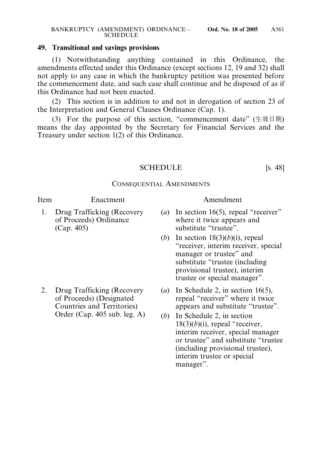#### **49. Transitional and savings provisions**

(1) Notwithstanding anything contained in this Ordinance, the amendments effected under this Ordinance (except sections 12, 19 and 32) shall not apply to any case in which the bankruptcy petition was presented before the commencement date, and such case shall continue and be disposed of as if this Ordinance had not been enacted.

(2) This section is in addition to and not in derogation of section 23 of the Interpretation and General Clauses Ordinance (Cap. 1).

(3) For the purpose of this section, "commencement date" (生效日期) means the day appointed by the Secretary for Financial Services and the Treasury under section 1(2) of this Ordinance.

#### SCHEDULE [s. 48]

#### CONSEQUENTIAL AMENDMENTS

- 
- (Cap. 405) substitute "trustee".

Order (Cap. 405 sub. leg. A) (*b*) In Schedule 2, in section

#### Item Enactment Amendment

- 1. Drug Trafficking (Recovery (*a*) In section 16(5), repeal "receiver" of Proceeds) Ordinance where it twice appears and
	- (*b*) In section  $18(3)(b)(i)$ , repeal "receiver, interim receiver, special manager or trustee" and substitute "trustee (including provisional trustee), interim trustee or special manager".
- 2. Drug Trafficking (Recovery (*a*) In Schedule 2, in section 16(5), of Proceeds) (Designated repeal "receiver" where it twice Countries and Territories) appears and substitute "trustee".
	- $18(3)(b)(i)$ , repeal "receiver, interim receiver, special manager or trustee" and substitute "trustee (including provisional trustee), interim trustee or special manager".